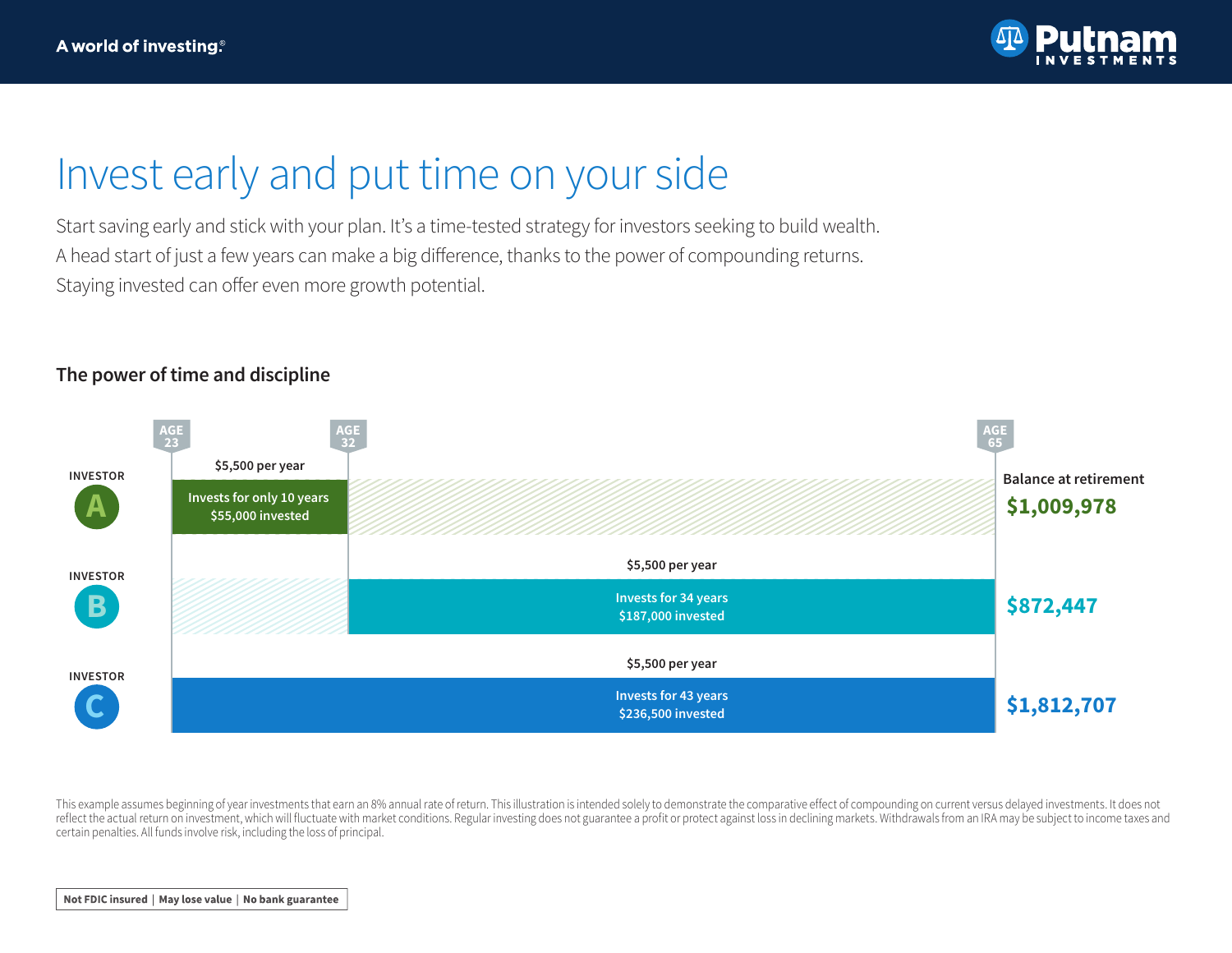

## Invest early and put time on your side

Start saving early and stick with your plan. It's a time-tested strategy for investors seeking to build wealth. A head start of just a few years can make a big difference, thanks to the power of compounding returns. Staying invested can offer even more growth potential.

## **The power of time and discipline**



This example assumes beginning of year investments that earn an 8% annual rate of return. This illustration is intended solely to demonstrate the comparative effect of compounding on current versus delayed investments. It reflect the actual return on investment, which will fluctuate with market conditions. Regular investing does not guarantee a profit or protect against loss in declining markets. Withdrawals from an IRA may be subject to in certain penalties. All funds involve risk, including the loss of principal.